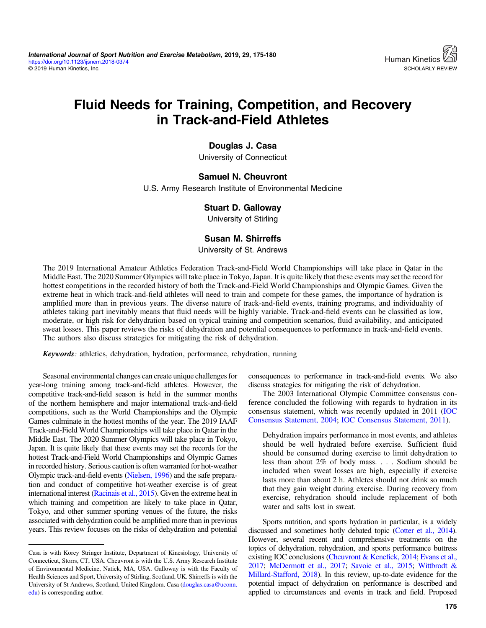# Fluid Needs for Training, Competition, and Recovery in Track-and-Field Athletes

# Douglas J. Casa

University of Connecticut

# Samuel N. Cheuvront

U.S. Army Research Institute of Environmental Medicine

# Stuart D. Galloway

University of Stirling

## Susan M. Shirreffs

University of St. Andrews

The 2019 International Amateur Athletics Federation Track-and-Field World Championships will take place in Qatar in the Middle East. The 2020 Summer Olympics will take place in Tokyo, Japan. It is quite likely that these events may set the record for hottest competitions in the recorded history of both the Track-and-Field World Championships and Olympic Games. Given the extreme heat in which track-and-field athletes will need to train and compete for these games, the importance of hydration is amplified more than in previous years. The diverse nature of track-and-field events, training programs, and individuality of athletes taking part inevitably means that fluid needs will be highly variable. Track-and-field events can be classified as low, moderate, or high risk for dehydration based on typical training and competition scenarios, fluid availability, and anticipated sweat losses. This paper reviews the risks of dehydration and potential consequences to performance in track-and-field events. The authors also discuss strategies for mitigating the risk of dehydration.

Keywords: athletics, dehydration, hydration, performance, rehydration, running

Seasonal environmental changes can create unique challenges for year-long training among track-and-field athletes. However, the competitive track-and-field season is held in the summer months of the northern hemisphere and major international track-and-field competitions, such as the World Championships and the Olympic Games culminate in the hottest months of the year. The 2019 IAAF Track-and-Field World Championships will take place in Qatar in the Middle East. The 2020 Summer Olympics will take place in Tokyo, Japan. It is quite likely that these events may set the records for the hottest Track-and-Field World Championships and Olympic Games in recorded history. Serious caution is often warranted for hot-weather Olympic track-and-field events [\(Nielsen, 1996](#page-5-0)) and the safe preparation and conduct of competitive hot-weather exercise is of great international interest [\(Racinais et al., 2015\)](#page-5-0). Given the extreme heat in which training and competition are likely to take place in Qatar, Tokyo, and other summer sporting venues of the future, the risks associated with dehydration could be amplified more than in previous years. This review focuses on the risks of dehydration and potential consequences to performance in track-and-field events. We also discuss strategies for mitigating the risk of dehydration.

The 2003 International Olympic Committee consensus conference concluded the following with regards to hydration in its consensus statement, which was recently updated in 2011 ([IOC](#page-5-0) [Consensus Statement, 2004](#page-5-0); [IOC Consensus Statement, 2011\)](#page-5-0).

Dehydration impairs performance in most events, and athletes should be well hydrated before exercise. Sufficient fluid should be consumed during exercise to limit dehydration to less than about 2% of body mass. . . . Sodium should be included when sweat losses are high, especially if exercise lasts more than about 2 h. Athletes should not drink so much that they gain weight during exercise. During recovery from exercise, rehydration should include replacement of both water and salts lost in sweat.

Sports nutrition, and sports hydration in particular, is a widely discussed and sometimes hotly debated topic [\(Cotter et al., 2014](#page-4-0)). However, several recent and comprehensive treatments on the topics of dehydration, rehydration, and sports performance buttress existing IOC conclusions [\(Cheuvront & Kene](#page-4-0)fick, 2014; [Evans et al.,](#page-4-0) [2017](#page-4-0); [McDermott et al., 2017](#page-5-0); [Savoie et al., 2015;](#page-5-0) [Wittbrodt &](#page-5-0) [Millard-Stafford, 2018](#page-5-0)). In this review, up-to-date evidence for the potential impact of dehydration on performance is described and applied to circumstances and events in track and field. Proposed

Casa is with Korey Stringer Institute, Department of Kinesiology, University of Connecticut, Storrs, CT, USA. Cheuvront is with the U.S. Army Research Institute of Environmental Medicine, Natick, MA, USA. Galloway is with the Faculty of Health Sciences and Sport, University of Stirling, Scotland, UK. Shirreffs is with the University of St Andrews, Scotland, United Kingdom. Casa [\(douglas.casa@uconn.](mailto:douglas.casa@uconn.edu) [edu](mailto:douglas.casa@uconn.edu)) is corresponding author.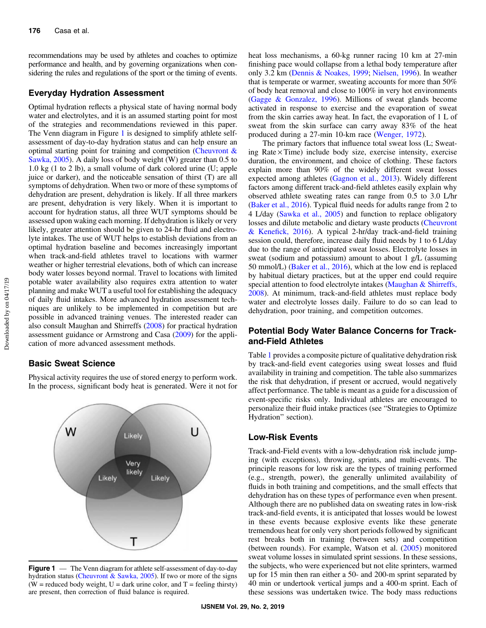<span id="page-1-0"></span>recommendations may be used by athletes and coaches to optimize performance and health, and by governing organizations when considering the rules and regulations of the sport or the timing of events.

## Everyday Hydration Assessment

Optimal hydration reflects a physical state of having normal body water and electrolytes, and it is an assumed starting point for most of the strategies and recommendations reviewed in this paper. The Venn diagram in Figure 1 is designed to simplify athlete selfassessment of day-to-day hydration status and can help ensure an optimal starting point for training and competition [\(Cheuvront &](#page-4-0) [Sawka, 2005](#page-4-0)). A daily loss of body weight (W) greater than 0.5 to 1.0 kg (1 to 2 lb), a small volume of dark colored urine (U; apple juice or darker), and the noticeable sensation of thirst (T) are all symptoms of dehydration. When two or more of these symptoms of dehydration are present, dehydration is likely. If all three markers are present, dehydration is very likely. When it is important to account for hydration status, all three WUT symptoms should be assessed upon waking each morning. If dehydration is likely or very likely, greater attention should be given to 24-hr fluid and electrolyte intakes. The use of WUT helps to establish deviations from an optimal hydration baseline and becomes increasingly important when track-and-field athletes travel to locations with warmer weather or higher terrestrial elevations, both of which can increase body water losses beyond normal. Travel to locations with limited potable water availability also requires extra attention to water planning and make WUT a useful tool for establishing the adequacy of daily fluid intakes. More advanced hydration assessment techniques are unlikely to be implemented in competition but are possible in advanced training venues. The interested reader can also consult Maughan and Shirreffs [\(2008](#page-5-0)) for practical hydration assessment guidance or Armstrong and Casa ([2009](#page-4-0)) for the application of more advanced assessment methods.

#### Basic Sweat Science

Physical activity requires the use of stored energy to perform work. In the process, significant body heat is generated. Were it not for



**Figure 1** — The Venn diagram for athlete self-assessment of day-to-day hydration status [\(Cheuvront & Sawka, 2005\)](#page-4-0). If two or more of the signs  $(W =$  reduced body weight,  $U =$  dark urine color, and  $T =$  feeling thirsty) are present, then correction of fluid balance is required.

heat loss mechanisms, a 60-kg runner racing 10 km at 27-min finishing pace would collapse from a lethal body temperature after only 3.2 km ([Dennis & Noakes, 1999](#page-4-0); [Nielsen, 1996](#page-5-0)). In weather that is temperate or warmer, sweating accounts for more than 50% of body heat removal and close to 100% in very hot environments [\(Gagge & Gonzalez, 1996\)](#page-4-0). Millions of sweat glands become activated in response to exercise and the evaporation of sweat from the skin carries away heat. In fact, the evaporation of 1 L of sweat from the skin surface can carry away 83% of the heat produced during a 27-min 10-km race [\(Wenger, 1972\)](#page-5-0).

The primary factors that influence total sweat loss (L; Sweating  $Rate \times Time$ ) include body size, exercise intensity, exercise duration, the environment, and choice of clothing. These factors explain more than 90% of the widely different sweat losses expected among athletes [\(Gagnon et al., 2013](#page-5-0)). Widely different factors among different track-and-field athletes easily explain why observed athlete sweating rates can range from 0.5 to 3.0 L/hr [\(Baker et al., 2016\)](#page-4-0). Typical fluid needs for adults range from 2 to 4 L/day [\(Sawka et al., 2005](#page-5-0)) and function to replace obligatory losses and dilute metabolic and dietary waste products ([Cheuvront](#page-4-0) & Kenefi[ck, 2016\)](#page-4-0). A typical 2-hr/day track-and-field training session could, therefore, increase daily fluid needs by 1 to 6 L/day due to the range of anticipated sweat losses. Electrolyte losses in sweat (sodium and potassium) amount to about 1 g/L (assuming 50 mmol/L) ([Baker et al., 2016](#page-4-0)), which at the low end is replaced by habitual dietary practices, but at the upper end could require special attention to food electrolyte intakes ([Maughan & Shirreffs,](#page-5-0) [2008](#page-5-0)). At minimum, track-and-field athletes must replace body water and electrolyte losses daily. Failure to do so can lead to dehydration, poor training, and competition outcomes.

# Potential Body Water Balance Concerns for Trackand-Field Athletes

Table [1](#page-2-0) provides a composite picture of qualitative dehydration risk by track-and-field event categories using sweat losses and fluid availability in training and competition. The table also summarizes the risk that dehydration, if present or accrued, would negatively affect performance. The table is meant as a guide for a discussion of event-specific risks only. Individual athletes are encouraged to personalize their fluid intake practices (see "Strategies to Optimize Hydration" section).

#### Low-Risk Events

Track-and-Field events with a low-dehydration risk include jumping (with exceptions), throwing, sprints, and multi-events. The principle reasons for low risk are the types of training performed (e.g., strength, power), the generally unlimited availability of fluids in both training and competitions, and the small effects that dehydration has on these types of performance even when present. Although there are no published data on sweating rates in low-risk track-and-field events, it is anticipated that losses would be lowest in these events because explosive events like these generate tremendous heat for only very short periods followed by significant rest breaks both in training (between sets) and competition (between rounds). For example, Watson et al. [\(2005](#page-5-0)) monitored sweat volume losses in simulated sprint sessions. In these sessions, the subjects, who were experienced but not elite sprinters, warmed up for 15 min then ran either a 50- and 200-m sprint separated by 40 min or undertook vertical jumps and a 400-m sprint. Each of these sessions was undertaken twice. The body mass reductions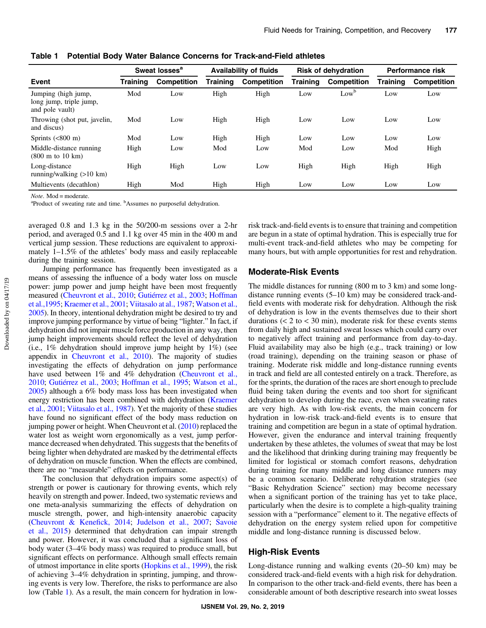|                                                                   | Sweat losses <sup>a</sup> |                    | <b>Availability of fluids</b> |                    | <b>Risk of dehydration</b> |                    | <b>Performance risk</b> |                    |
|-------------------------------------------------------------------|---------------------------|--------------------|-------------------------------|--------------------|----------------------------|--------------------|-------------------------|--------------------|
| Event                                                             | <b>Training</b>           | <b>Competition</b> | Training                      | <b>Competition</b> | Training                   | <b>Competition</b> | <b>Training</b>         | <b>Competition</b> |
| Jumping (high jump,<br>long jump, triple jump,<br>and pole vault) | Mod                       | Low                | High                          | High               | Low                        | $Low^b$            | Low                     | Low                |
| Throwing (shot put, javelin,<br>and discus)                       | Mod                       | Low                | High                          | High               | Low                        | Low                | Low                     | Low                |
| Sprints $(< 800 \text{ m})$                                       | Mod                       | Low                | High                          | High               | Low                        | Low                | Low                     | Low                |
| Middle-distance running<br>$(800 \text{ m}$ to $10 \text{ km})$   | High                      | Low                | Mod                           | Low                | Mod                        | Low                | Mod                     | High               |
| Long-distance<br>running/walking $(>10 \text{ km})$               | High                      | High               | Low                           | Low                | High                       | High               | High                    | High               |
| Multievents (decathlon)                                           | High                      | Mod                | High                          | High               | Low                        | Low                | Low                     | Low                |

<span id="page-2-0"></span>Table 1 Potential Body Water Balance Concerns for Track-and-Field athletes

 $Note.$  Mod  $=$  moderate.

Product of sweating rate and time. <sup>b</sup>Assumes no purposeful dehydration.

averaged 0.8 and 1.3 kg in the 50/200-m sessions over a 2-hr period, and averaged 0.5 and 1.1 kg over 45 min in the 400 m and vertical jump session. These reductions are equivalent to approximately 1–1.5% of the athletes' body mass and easily replaceable during the training session.

Jumping performance has frequently been investigated as a means of assessing the influence of a body water loss on muscle power: jump power and jump height have been most frequently measured [\(Cheuvront et al., 2010](#page-4-0); [Gutiérrez et al., 2003](#page-5-0); [Hoffman](#page-5-0) [et al.,1995](#page-5-0); [Kraemer et al., 2001;](#page-5-0) [Viitasalo at al., 1987](#page-5-0); [Watson et al.,](#page-5-0) [2005\)](#page-5-0). In theory, intentional dehydration might be desired to try and improve jumping performance by virtue of being "lighter." In fact, if dehydration did not impair muscle force production in any way, then jump height improvements should reflect the level of dehydration (i.e., 1% dehydration should improve jump height by 1%) (see appendix in [Cheuvront et al., 2010\)](#page-4-0). The majority of studies investigating the effects of dehydration on jump performance have used between 1% and 4% dehydration [\(Cheuvront et al.,](#page-4-0) [2010;](#page-4-0) [Gutiérrez et al., 2003](#page-5-0); [Hoffman et al., 1995](#page-5-0); [Watson et al.,](#page-5-0) [2005\)](#page-5-0) although a 6% body mass loss has been investigated when energy restriction has been combined with dehydration [\(Kraemer](#page-5-0) [et al., 2001](#page-5-0); [Viitasalo et al., 1987](#page-5-0)). Yet the majority of these studies have found no significant effect of the body mass reduction on jumping power or height. When Cheuvront et al. ([2010](#page-4-0)) replaced the water lost as weight worn ergonomically as a vest, jump performance decreased when dehydrated. This suggests that the benefits of being lighter when dehydrated are masked by the detrimental effects of dehydration on muscle function. When the effects are combined, there are no "measurable" effects on performance.

The conclusion that dehydration impairs some aspect(s) of strength or power is cautionary for throwing events, which rely heavily on strength and power. Indeed, two systematic reviews and one meta-analysis summarizing the effects of dehydration on muscle strength, power, and high-intensity anaerobic capacity [\(Cheuvront & Kene](#page-4-0)fick, 2014; [Judelson et al., 2007;](#page-5-0) [Savoie](#page-5-0) [et al., 2015\)](#page-5-0) determined that dehydration can impair strength and power. However, it was concluded that a significant loss of body water (3–4% body mass) was required to produce small, but significant effects on performance. Although small effects remain of utmost importance in elite sports ([Hopkins et al., 1999\)](#page-5-0), the risk of achieving 3–4% dehydration in sprinting, jumping, and throwing events is very low. Therefore, the risks to performance are also low (Table 1). As a result, the main concern for hydration in lowrisk track-and-field events is to ensure that training and competition are begun in a state of optimal hydration. This is especially true for multi-event track-and-field athletes who may be competing for many hours, but with ample opportunities for rest and rehydration.

#### Moderate-Risk Events

The middle distances for running (800 m to 3 km) and some longdistance running events (5–10 km) may be considered track-andfield events with moderate risk for dehydration. Although the risk of dehydration is low in the events themselves due to their short durations  $(< 2$  to  $< 30$  min), moderate risk for these events stems from daily high and sustained sweat losses which could carry over to negatively affect training and performance from day-to-day. Fluid availability may also be high (e.g., track training) or low (road training), depending on the training season or phase of training. Moderate risk middle and long-distance running events in track and field are all contested entirely on a track. Therefore, as for the sprints, the duration of the races are short enough to preclude fluid being taken during the events and too short for significant dehydration to develop during the race, even when sweating rates are very high. As with low-risk events, the main concern for hydration in low-risk track-and-field events is to ensure that training and competition are begun in a state of optimal hydration. However, given the endurance and interval training frequently undertaken by these athletes, the volumes of sweat that may be lost and the likelihood that drinking during training may frequently be limited for logistical or stomach comfort reasons, dehydration during training for many middle and long distance runners may be a common scenario. Deliberate rehydration strategies (see "Basic Rehydration Science" section) may become necessary when a significant portion of the training has yet to take place, particularly when the desire is to complete a high-quality training session with a "performance" element to it. The negative effects of dehydration on the energy system relied upon for competitive middle and long-distance running is discussed below.

#### High-Risk Events

Long-distance running and walking events (20–50 km) may be considered track-and-field events with a high risk for dehydration. In comparison to the other track-and-field events, there has been a considerable amount of both descriptive research into sweat losses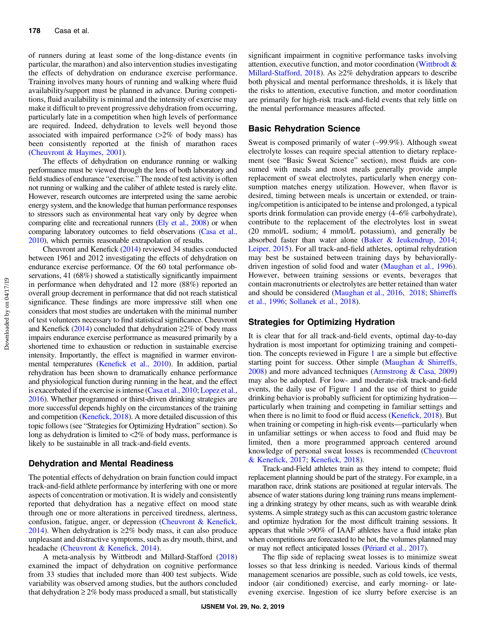of runners during at least some of the long-distance events (in particular, the marathon) and also intervention studies investigating the effects of dehydration on endurance exercise performance. Training involves many hours of running and walking where fluid availability/support must be planned in advance. During competitions, fluid availability is minimal and the intensity of exercise may make it difficult to prevent progressive dehydration from occurring, particularly late in a competition when high levels of performance are required. Indeed, dehydration to levels well beyond those associated with impaired performance (>2% of body mass) has been consistently reported at the finish of marathon races [\(Cheuvront & Haymes, 2001\)](#page-4-0).

The effects of dehydration on endurance running or walking performance must be viewed through the lens of both laboratory and field studies of endurance "exercise." The mode of test activity is often not running or walking and the caliber of athlete tested is rarely elite. However, research outcomes are interpreted using the same aerobic energy system, and the knowledge that human performance responses to stressors such as environmental heat vary only by degree when comparing elite and recreational runners [\(Ely et al., 2008](#page-4-0)) or when comparing laboratory outcomes to field observations ([Casa et al.,](#page-4-0) [2010](#page-4-0)), which permits reasonable extrapolation of results.

Cheuvront and Kenefick ([2014](#page-4-0)) reviewed 34 studies conducted between 1961 and 2012 investigating the effects of dehydration on endurance exercise performance. Of the 60 total performance observations, 41 (68%) showed a statistically significantly impairment in performance when dehydrated and 12 more (88%) reported an overall group decrement in performance that did not reach statistical significance. These findings are more impressive still when one considers that most studies are undertaken with the minimal number of test volunteers necessary to find statistical significance. Cheuvront and Kenefick [\(2014\)](#page-4-0) concluded that dehydration  $\geq 2\%$  of body mass impairs endurance exercise performance as measured primarily by a shortened time to exhaustion or reduction in sustainable exercise intensity. Importantly, the effect is magnified in warmer environmental temperatures (Kenefi[ck et al., 2010](#page-5-0)). In addition, partial rehydration has been shown to dramatically enhance performance and physiological function during running in the heat, and the effect is exacerbated if the exercise is intense [\(Casa et al., 2010](#page-4-0); [Lopez et al.,](#page-5-0) [2016\)](#page-5-0). Whether programmed or thirst-driven drinking strategies are more successful depends highly on the circumstances of the training and competition (Kenefi[ck, 2018](#page-5-0)). A more detailed discussion of this topic follows (see "Strategies for Optimizing Hydration" section). So long as dehydration is limited to <2% of body mass, performance is likely to be sustainable in all track-and-field events.

#### Dehydration and Mental Readiness

The potential effects of dehydration on brain function could impact track-and-field athlete performance by interfering with one or more aspects of concentration or motivation. It is widely and consistently reported that dehydration has a negative effect on mood state through one or more alterations in perceived tiredness, alertness, confusion, fatigue, anger, or depression ([Cheuvront & Kene](#page-4-0)fick, [2014](#page-4-0)). When dehydration is  $\geq 2\%$  body mass, it can also produce unpleasant and distractive symptoms, such as dry mouth, thirst, and headache [\(Cheuvront & Kene](#page-4-0)fick, 2014).

A meta-analysis by Wittbrodt and Millard-Stafford ([2018\)](#page-5-0) examined the impact of dehydration on cognitive performance from 33 studies that included more than 400 test subjects. Wide variability was observed among studies, but the authors concluded that dehydration  $\geq 2\%$  body mass produced a small, but statistically

significant impairment in cognitive performance tasks involving attention, executive function, and motor coordination ([Wittbrodt &](#page-5-0) [Millard-Stafford, 2018\)](#page-5-0). As  $\geq 2\%$  dehydration appears to describe both physical and mental performance thresholds, it is likely that the risks to attention, executive function, and motor coordination are primarily for high-risk track-and-field events that rely little on the mental performance measures affected.

#### Basic Rehydration Science

Sweat is composed primarily of water (∼99.9%). Although sweat electrolyte losses can require special attention to dietary replacement (see "Basic Sweat Science" section), most fluids are consumed with meals and most meals generally provide ample replacement of sweat electrolytes, particularly when energy consumption matches energy utilization. However, when flavor is desired, timing between meals is uncertain or extended, or training/competition is anticipated to be intense and prolonged, a typical sports drink formulation can provide energy (4–6% carbohydrate), contribute to the replacement of the electrolytes lost in sweat (20 mmol/L sodium; 4 mmol/L potassium), and generally be absorbed faster than water alone ([Baker & Jeukendrup, 2014](#page-4-0); [Leiper, 2015\)](#page-5-0). For all track-and-field athletes, optimal rehydration may best be sustained between training days by behaviorallydriven ingestion of solid food and water [\(Maughan et al., 1996](#page-5-0)). However, between training sessions or events, beverages that contain macronutrients or electrolytes are better retained than water and should be considered ([Maughan et al., 2016](#page-5-0), [2018;](#page-5-0) [Shirreffs](#page-5-0) [et al., 1996;](#page-5-0) [Sollanek et al., 2018\)](#page-5-0).

## Strategies for Optimizing Hydration

It is clear that for all track-and-field events, optimal day-to-day hydration is most important for optimizing training and competition. The concepts reviewed in Figure [1](#page-1-0) are a simple but effective starting point for success. Other simple [\(Maughan & Shirreffs,](#page-5-0) [2008](#page-5-0)) and more advanced techniques [\(Armstrong & Casa, 2009\)](#page-4-0) may also be adopted. For low- and moderate-risk track-and-field events, the daily use of Figure [1](#page-1-0) and the use of thirst to guide drinking behavior is probably sufficient for optimizing hydration particularly when training and competing in familiar settings and when there is no limit to food or fluid access (Kenefi[ck, 2018\)](#page-5-0). But when training or competing in high-risk events—particularly when in unfamiliar settings or when access to food and fluid may be limited, then a more programmed approach centered around knowledge of personal sweat losses is recommended ([Cheuvront](#page-4-0) & Kenefi[ck, 2017;](#page-4-0) Kenefi[ck, 2018](#page-5-0)).

Track-and-Field athletes train as they intend to compete; fluid replacement planning should be part of the strategy. For example, in a marathon race, drink stations are positioned at regular intervals. The absence of water stations during long training runs means implementing a drinking strategy by other means, such as with wearable drink systems. A simple strategy such as this can accustom gastric tolerance and optimize hydration for the most difficult training sessions. It appears that while >90% of IAAF athletes have a fluid intake plan when competitions are forecasted to be hot, the volumes planned may or may not reflect anticipated losses [\(Périard et al., 2017\)](#page-5-0).

The flip side of replacing sweat losses is to minimize sweat losses so that less drinking is needed. Various kinds of thermal management scenarios are possible, such as cold towels, ice vests, indoor (air conditioned) exercise, and early morning- or lateevening exercise. Ingestion of ice slurry before exercise is an

Downloaded by on 04/17/19 Downloaded by on 04/17/19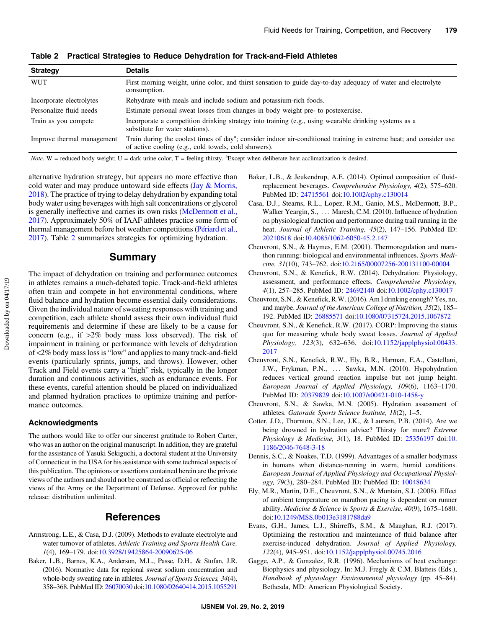| <b>Strategy</b>            | Details                                                                                                                                                                                 |
|----------------------------|-----------------------------------------------------------------------------------------------------------------------------------------------------------------------------------------|
| WUT                        | First morning weight, urine color, and thirst sensation to guide day-to-day adequacy of water and electrolyte<br>consumption.                                                           |
| Incorporate electrolytes   | Rehydrate with meals and include sodium and potassium-rich foods.                                                                                                                       |
| Personalize fluid needs    | Estimate personal sweat losses from changes in body weight pre- to postexercise.                                                                                                        |
| Train as you compete       | Incorporate a competition drinking strategy into training (e.g., using wearable drinking systems as a<br>substitute for water stations).                                                |
| Improve thermal management | Train during the coolest times of day <sup>a</sup> ; consider indoor air-conditioned training in extreme heat; and consider use<br>of active cooling (e.g., cold towels, cold showers). |

<span id="page-4-0"></span>Table 2 Practical Strategies to Reduce Dehydration for Track-and-Field Athletes

Note. W = reduced body weight;  $U =$  dark urine color; T = feeling thirsty.  ${}^{\text{a}}$ Except when deliberate heat acclimatization is desired.

alternative hydration strategy, but appears no more effective than cold water and may produce untoward side effects ( $Jay & Morris$ , [2018](#page-5-0)). The practice of trying to delay dehydration by expanding total body water using beverages with high salt concentrations or glycerol is generally ineffective and carries its own risks [\(McDermott et al.,](#page-5-0) [2017\)](#page-5-0). Approximately 50% of IAAF athletes practice some form of thermal management before hot weather competitions [\(Périard et al.,](#page-5-0) [2017\)](#page-5-0). Table 2 summarizes strategies for optimizing hydration.

# Summary

The impact of dehydration on training and performance outcomes in athletes remains a much-debated topic. Track-and-field athletes often train and compete in hot environmental conditions, where fluid balance and hydration become essential daily considerations. Given the individual nature of sweating responses with training and competition, each athlete should assess their own individual fluid requirements and determine if these are likely to be a cause for concern (e.g., if >2% body mass loss observed). The risk of impairment in training or performance with levels of dehydration of <2% body mass loss is "low" and applies to many track-and-field events (particularly sprints, jumps, and throws). However, other Track and Field events carry a "high" risk, typically in the longer duration and continuous activities, such as endurance events. For these events, careful attention should be placed on individualized and planned hydration practices to optimize training and performance outcomes.

#### Acknowledgments

The authors would like to offer our sincerest gratitude to Robert Carter, who was an author on the original manuscript. In addition, they are grateful for the assistance of Yasuki Sekiguchi, a doctoral student at the University of Connecticut in the USA for his assistance with some technical aspects of this publication. The opinions or assertions contained herein are the private views of the authors and should not be construed as official or reflecting the views of the Army or the Department of Defense. Approved for public release: distribution unlimited.

# References

- Armstrong, L.E., & Casa, D.J. (2009). Methods to evaluate electrolyte and water turnover of athletes. Athletic Training and Sports Health Care, 1(4), 169–179. doi[:10.3928/19425864-20090625-06](https://doi.org/10.3928/19425864-20090625-06)
- Baker, L.B., Barnes, K.A., Anderson, M.L., Passe, D.H., & Stofan, J.R. (2016). Normative data for regional sweat sodium concentration and whole-body sweating rate in athletes. Journal of Sports Sciences, 34(4), 358–368. PubMed ID: [26070030](http://www.ncbi.nlm.nih.gov/pubmed/26070030?dopt=Abstract) doi[:10.1080/02640414.2015.1055291](https://doi.org/10.1080/02640414.2015.1055291)
- Baker, L.B., & Jeukendrup, A.E. (2014). Optimal composition of fluidreplacement beverages. Comprehensive Physiology, 4(2), 575–620. PubMed ID: [24715561](http://www.ncbi.nlm.nih.gov/pubmed/24715561?dopt=Abstract) doi:[10.1002/cphy.c130014](https://doi.org/10.1002/cphy.c130014)
- Casa, D.J., Stearns, R.L., Lopez, R.M., Ganio, M.S., McDermott, B.P., Walker Yeargin, S., ... Maresh, C.M. (2010). Influence of hydration on physiological function and performance during trail running in the heat. Journal of Athletic Training, 45(2), 147-156. PubMed ID: [20210618](http://www.ncbi.nlm.nih.gov/pubmed/20210618?dopt=Abstract) doi:[10.4085/1062-6050-45.2.147](https://doi.org/10.4085/1062-6050-45.2.147)
- Cheuvront, S.N., & Haymes, E.M. (2001). Thermoregulation and marathon running: biological and environmental influences. Sports Medicine, 31(10), 743–762. doi:[10.2165/00007256-200131100-00004](https://doi.org/10.2165/00007256-200131100-00004)
- Cheuvront, S.N., & Kenefick, R.W. (2014). Dehydration: Physiology, assessment, and performance effects. Comprehensive Physiology, 4(1), 257–285. PubMed ID: [24692140](http://www.ncbi.nlm.nih.gov/pubmed/24692140?dopt=Abstract) doi:[10.1002/cphy.c130017](https://doi.org/10.1002/cphy.c130017)
- Cheuvront, S.N., & Kenefick, R.W. (2016). Am I drinking enough? Yes, no, and maybe. Journal of the American College of Nutrition, 35(2), 185– 192. PubMed ID: [26885571](http://www.ncbi.nlm.nih.gov/pubmed/26885571?dopt=Abstract) doi:[10.1080/07315724.2015.1067872](https://doi.org/10.1080/07315724.2015.1067872)
- Cheuvront, S.N., & Kenefick, R.W. (2017). CORP: Improving the status quo for measuring whole body sweat losses. Journal of Applied Physiology, 123(3), 632–636. doi:[10.1152/japplphysiol.00433.](https://doi.org/10.1152/japplphysiol.00433.2017) [2017](https://doi.org/10.1152/japplphysiol.00433.2017)
- Cheuvront, S.N., Kenefick, R.W., Ely, B.R., Harman, E.A., Castellani, J.W., Frykman, P.N., ... Sawka, M.N. (2010). Hypohydration reduces vertical ground reaction impulse but not jump height. European Journal of Applied Physiology, 109(6), 1163–1170. PubMed ID: [20379829](http://www.ncbi.nlm.nih.gov/pubmed/20379829?dopt=Abstract) doi:[10.1007/s00421-010-1458-y](https://doi.org/10.1007/s00421-010-1458-y)
- Cheuvront, S.N., & Sawka, M.N. (2005). Hydration assessment of athletes. Gatorade Sports Science Institute, 18(2), 1–5.
- Cotter, J.D., Thornton, S.N., Lee, J.K., & Laursen, P.B. (2014). Are we being drowned in hydration advice? Thirsty for more? Extreme Physiology & Medicine, 3(1), 18. PubMed ID: [25356197](http://www.ncbi.nlm.nih.gov/pubmed/25356197?dopt=Abstract) doi:[10.](https://doi.org/10.1186/2046-7648-3-18) [1186/2046-7648-3-18](https://doi.org/10.1186/2046-7648-3-18)
- Dennis, S.C., & Noakes, T.D. (1999). Advantages of a smaller bodymass in humans when distance-running in warm, humid conditions. European Journal of Applied Physiology and Occupational Physiology, 79(3), 280–284. PubMed ID: PubMed ID: [10048634](http://www.ncbi.nlm.nih.gov/pubmed/10048634?dopt=Abstract)
- Ely, M.R., Martin, D.E., Cheuvront, S.N., & Montain, S.J. (2008). Effect of ambient temperature on marathon pacing is dependent on runner ability. Medicine & Science in Sports & Exercise, 40(9), 1675–1680. doi:[10.1249/MSS.0b013e3181788da9](https://doi.org/10.1249/MSS.0b013e3181788da9)
- Evans, G.H., James, L.J., Shirreffs, S.M., & Maughan, R.J. (2017). Optimizing the restoration and maintenance of fluid balance after exercise-induced dehydration. Journal of Applied Physiology, 122(4), 945–951. doi:[10.1152/japplphysiol.00745.2016](https://doi.org/10.1152/japplphysiol.00745.2016)
- Gagge, A.P., & Gonzalez, R.R. (1996). Mechanisms of heat exchange: Biophysics and physiology. In: M.J. Fregly & C.M. Blatteis (Eds.), Handbook of physiology: Environmental physiology (pp. 45–84). Bethesda, MD: American Physiological Society.

Downloaded by on 04/17/19 Downloaded by on 04/17/19